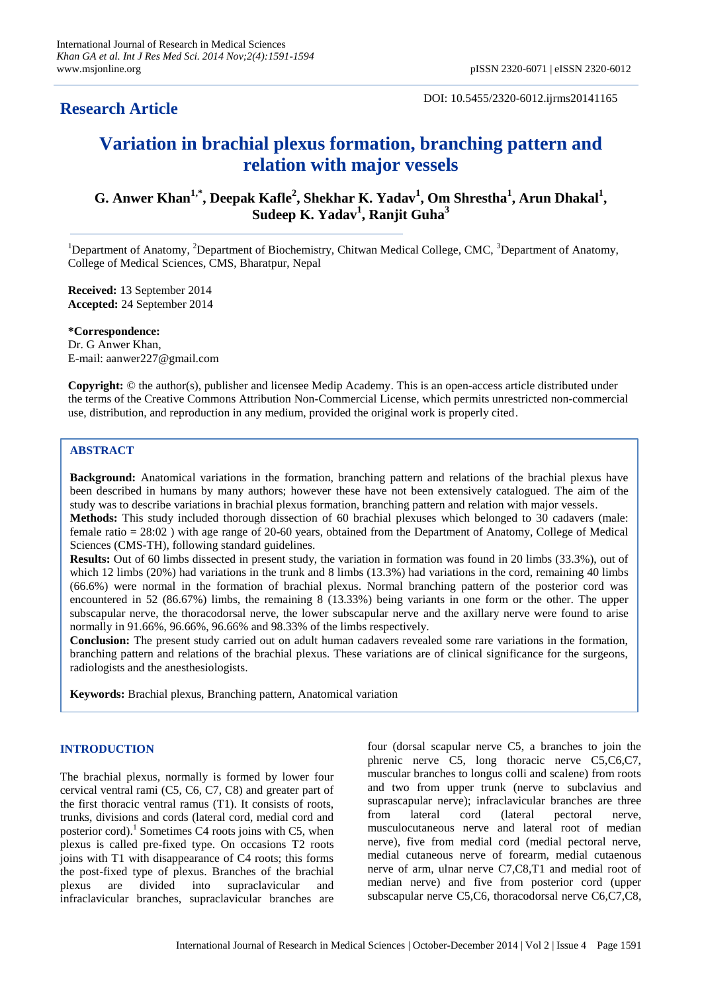# **Research Article**

#### DOI: 10.5455/2320-6012.ijrms20141165

# **Variation in brachial plexus formation, branching pattern and relation with major vessels**

**G. Anwer Khan1,\*, Deepak Kafle<sup>2</sup> , Shekhar K. Yadav<sup>1</sup> , Om Shrestha<sup>1</sup> , Arun Dhakal<sup>1</sup> , Sudeep K. Yadav<sup>1</sup> , Ranjit Guha<sup>3</sup>**

<sup>1</sup>Department of Anatomy, <sup>2</sup>Department of Biochemistry, Chitwan Medical College, CMC, <sup>3</sup>Department of Anatomy, College of Medical Sciences, CMS, Bharatpur, Nepal

**Received:** 13 September 2014 **Accepted:** 24 September 2014

**\*Correspondence:** Dr. G Anwer Khan, E-mail: aanwer227@gmail.com

**Copyright:** © the author(s), publisher and licensee Medip Academy. This is an open-access article distributed under the terms of the Creative Commons Attribution Non-Commercial License, which permits unrestricted non-commercial use, distribution, and reproduction in any medium, provided the original work is properly cited.

## **ABSTRACT**

**Background:** Anatomical variations in the formation, branching pattern and relations of the brachial plexus have been described in humans by many authors; however these have not been extensively catalogued. The aim of the study was to describe variations in brachial plexus formation, branching pattern and relation with major vessels.

**Methods:** This study included thorough dissection of 60 brachial plexuses which belonged to 30 cadavers (male: female ratio = 28:02 ) with age range of 20-60 years, obtained from the Department of Anatomy, College of Medical Sciences (CMS-TH), following standard guidelines.

**Results:** Out of 60 limbs dissected in present study, the variation in formation was found in 20 limbs (33.3%), out of which 12 limbs (20%) had variations in the trunk and 8 limbs (13.3%) had variations in the cord, remaining 40 limbs (66.6%) were normal in the formation of brachial plexus. Normal branching pattern of the posterior cord was encountered in 52 (86.67%) limbs, the remaining 8 (13.33%) being variants in one form or the other. The upper subscapular nerve, the thoracodorsal nerve, the lower subscapular nerve and the axillary nerve were found to arise normally in 91.66%, 96.66%, 96.66% and 98.33% of the limbs respectively.

**Conclusion:** The present study carried out on adult human cadavers revealed some rare variations in the formation, branching pattern and relations of the brachial plexus. These variations are of clinical significance for the surgeons, radiologists and the anesthesiologists.

**Keywords:** Brachial plexus, Branching pattern, Anatomical variation

### **INTRODUCTION**

The brachial plexus, normally is formed by lower four cervical ventral rami (C5, C6, C7, C8) and greater part of the first thoracic ventral ramus (T1). It consists of roots, trunks, divisions and cords (lateral cord, medial cord and posterior cord).<sup>1</sup> Sometimes C4 roots joins with C5, when plexus is called pre-fixed type. On occasions T2 roots joins with T1 with disappearance of C4 roots; this forms the post-fixed type of plexus. Branches of the brachial plexus are divided into supraclavicular and infraclavicular branches, supraclavicular branches are four (dorsal scapular nerve C5, a branches to join the phrenic nerve C5, long thoracic nerve C5,C6,C7, muscular branches to longus colli and scalene) from roots and two from upper trunk (nerve to subclavius and suprascapular nerve); infraclavicular branches are three from lateral cord (lateral pectoral nerve, musculocutaneous nerve and lateral root of median nerve), five from medial cord (medial pectoral nerve, medial cutaneous nerve of forearm, medial cutaenous nerve of arm, ulnar nerve C7,C8,T1 and medial root of median nerve) and five from posterior cord (upper subscapular nerve C5,C6, thoracodorsal nerve C6,C7,C8,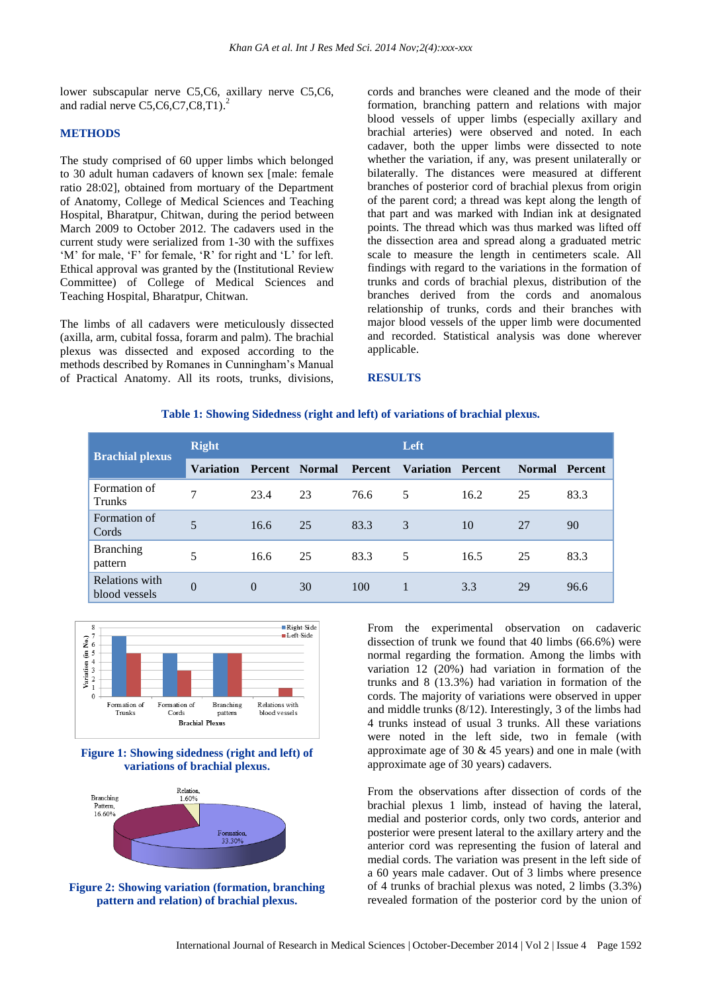lower subscapular nerve C5,C6, axillary nerve C5,C6, and radial nerve C5,C6,C7,C8,T1). 2

#### **METHODS**

The study comprised of 60 upper limbs which belonged to 30 adult human cadavers of known sex [male: female ratio 28:02], obtained from mortuary of the Department of Anatomy, College of Medical Sciences and Teaching Hospital, Bharatpur, Chitwan, during the period between March 2009 to October 2012. The cadavers used in the current study were serialized from 1-30 with the suffixes 'M' for male, 'F' for female, 'R' for right and 'L' for left. Ethical approval was granted by the (Institutional Review Committee) of College of Medical Sciences and Teaching Hospital, Bharatpur, Chitwan.

The limbs of all cadavers were meticulously dissected (axilla, arm, cubital fossa, forarm and palm). The brachial plexus was dissected and exposed according to the methods described by Romanes in Cunningham's Manual of Practical Anatomy. All its roots, trunks, divisions,

cords and branches were cleaned and the mode of their formation, branching pattern and relations with major blood vessels of upper limbs (especially axillary and brachial arteries) were observed and noted. In each cadaver, both the upper limbs were dissected to note whether the variation, if any, was present unilaterally or bilaterally. The distances were measured at different branches of posterior cord of brachial plexus from origin of the parent cord; a thread was kept along the length of that part and was marked with Indian ink at designated points. The thread which was thus marked was lifted off the dissection area and spread along a graduated metric scale to measure the length in centimeters scale. All findings with regard to the variations in the formation of trunks and cords of brachial plexus, distribution of the branches derived from the cords and anomalous relationship of trunks, cords and their branches with major blood vessels of the upper limb were documented and recorded. Statistical analysis was done wherever applicable.

#### **RESULTS**

#### **Table 1: Showing Sidedness (right and left) of variations of brachial plexus.**

| <b>Brachial plexus</b>          | <b>Right</b>     |                       |    |                | Left                     |      |               |                |
|---------------------------------|------------------|-----------------------|----|----------------|--------------------------|------|---------------|----------------|
|                                 | <b>Variation</b> | <b>Percent</b> Normal |    | <b>Percent</b> | <b>Variation Percent</b> |      | <b>Normal</b> | <b>Percent</b> |
| Formation of<br><b>Trunks</b>   | 7                | 23.4                  | 23 | 76.6           | 5                        | 16.2 | 25            | 83.3           |
| Formation of<br>Cords           | 5                | 16.6                  | 25 | 83.3           | 3                        | 10   | 27            | 90             |
| <b>Branching</b><br>pattern     | 5                | 16.6                  | 25 | 83.3           | 5                        | 16.5 | 25            | 83.3           |
| Relations with<br>blood vessels | $\Omega$         | $\Omega$              | 30 | 100            |                          | 3.3  | 29            | 96.6           |









From the experimental observation on cadaveric dissection of trunk we found that 40 limbs (66.6%) were normal regarding the formation. Among the limbs with variation 12 (20%) had variation in formation of the trunks and 8 (13.3%) had variation in formation of the cords. The majority of variations were observed in upper and middle trunks (8/12). Interestingly, 3 of the limbs had 4 trunks instead of usual 3 trunks. All these variations were noted in the left side, two in female (with approximate age of 30  $&$  45 years) and one in male (with approximate age of 30 years) cadavers.

From the observations after dissection of cords of the brachial plexus 1 limb, instead of having the lateral, medial and posterior cords, only two cords, anterior and posterior were present lateral to the axillary artery and the anterior cord was representing the fusion of lateral and medial cords. The variation was present in the left side of a 60 years male cadaver. Out of 3 limbs where presence of 4 trunks of brachial plexus was noted, 2 limbs (3.3%) revealed formation of the posterior cord by the union of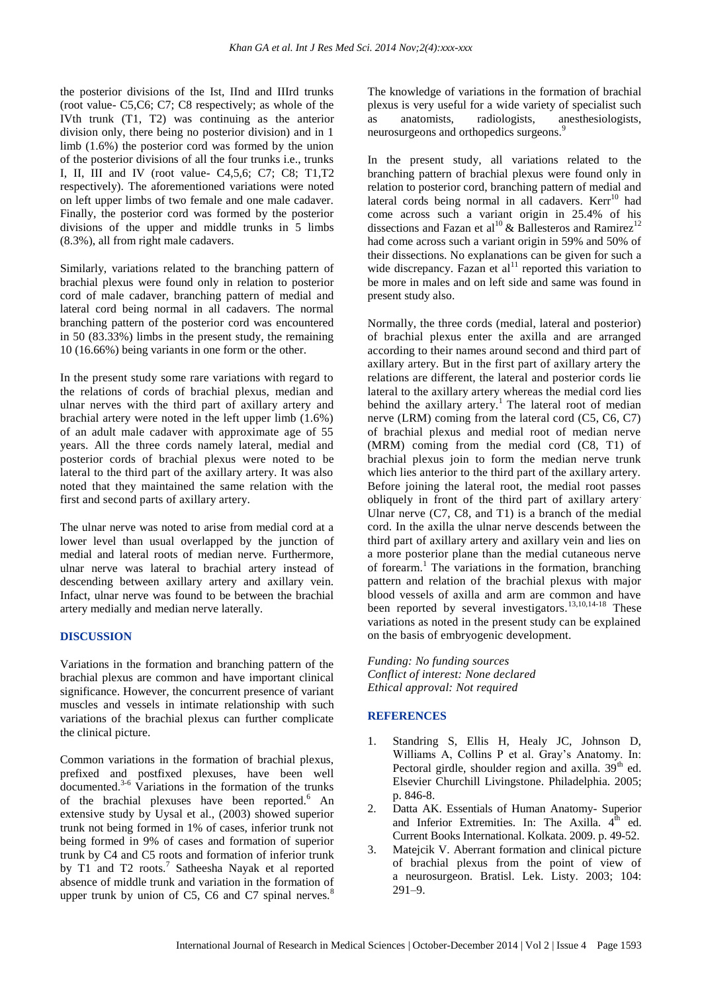the posterior divisions of the Ist, IInd and IIIrd trunks (root value- C5,C6; C7; C8 respectively; as whole of the IVth trunk (T1, T2) was continuing as the anterior division only, there being no posterior division) and in 1 limb (1.6%) the posterior cord was formed by the union of the posterior divisions of all the four trunks i.e., trunks I, II, III and IV (root value- C4,5,6; C7; C8; T1,T2 respectively). The aforementioned variations were noted on left upper limbs of two female and one male cadaver. Finally, the posterior cord was formed by the posterior divisions of the upper and middle trunks in 5 limbs (8.3%), all from right male cadavers.

Similarly, variations related to the branching pattern of brachial plexus were found only in relation to posterior cord of male cadaver, branching pattern of medial and lateral cord being normal in all cadavers. The normal branching pattern of the posterior cord was encountered in 50 (83.33%) limbs in the present study, the remaining 10 (16.66%) being variants in one form or the other.

In the present study some rare variations with regard to the relations of cords of brachial plexus, median and ulnar nerves with the third part of axillary artery and brachial artery were noted in the left upper limb (1.6%) of an adult male cadaver with approximate age of 55 years. All the three cords namely lateral, medial and posterior cords of brachial plexus were noted to be lateral to the third part of the axillary artery. It was also noted that they maintained the same relation with the first and second parts of axillary artery.

The ulnar nerve was noted to arise from medial cord at a lower level than usual overlapped by the junction of medial and lateral roots of median nerve. Furthermore, ulnar nerve was lateral to brachial artery instead of descending between axillary artery and axillary vein. Infact, ulnar nerve was found to be between the brachial artery medially and median nerve laterally.

#### **DISCUSSION**

Variations in the formation and branching pattern of the brachial plexus are common and have important clinical significance. However, the concurrent presence of variant muscles and vessels in intimate relationship with such variations of the brachial plexus can further complicate the clinical picture.

Common variations in the formation of brachial plexus, prefixed and postfixed plexuses, have been well documented. $3-6$  Variations in the formation of the trunks of the brachial plexuses have been reported.<sup>6</sup> An extensive study by Uysal et al., (2003) showed superior trunk not being formed in 1% of cases, inferior trunk not being formed in 9% of cases and formation of superior trunk by C4 and C5 roots and formation of inferior trunk by T1 and T2 roots.<sup>7</sup> Satheesha Nayak et al reported absence of middle trunk and variation in the formation of upper trunk by union of C5, C6 and C7 spinal nerves. $8$ 

The knowledge of variations in the formation of brachial plexus is very useful for a wide variety of specialist such as anatomists, radiologists, anesthesiologists, neurosurgeons and orthopedics surgeons.<sup>9</sup>

In the present study, all variations related to the branching pattern of brachial plexus were found only in relation to posterior cord, branching pattern of medial and lateral cords being normal in all cadavers. Kerr<sup>10</sup> had come across such a variant origin in 25.4% of his dissections and Fazan et al<sup>10</sup> & Ballesteros and Ramirez<sup>12</sup> had come across such a variant origin in 59% and 50% of their dissections. No explanations can be given for such a wide discrepancy. Fazan et  $al<sup>11</sup>$  reported this variation to be more in males and on left side and same was found in present study also.

Normally, the three cords (medial, lateral and posterior) of brachial plexus enter the axilla and are arranged according to their names around second and third part of axillary artery. But in the first part of axillary artery the relations are different, the lateral and posterior cords lie lateral to the axillary artery whereas the medial cord lies behind the axillary artery.<sup>1</sup> The lateral root of median nerve (LRM) coming from the lateral cord (C5, C6, C7) of brachial plexus and medial root of median nerve (MRM) coming from the medial cord (C8, T1) of brachial plexus join to form the median nerve trunk which lies anterior to the third part of the axillary artery. Before joining the lateral root, the medial root passes obliquely in front of the third part of axillary artery. Ulnar nerve (C7, C8, and T1) is a branch of the medial cord. In the axilla the ulnar nerve descends between the third part of axillary artery and axillary vein and lies on a more posterior plane than the medial cutaneous nerve of forearm. <sup>1</sup> The variations in the formation, branching pattern and relation of the brachial plexus with major blood vessels of axilla and arm are common and have been reported by several investigators.<sup>13,10,14-18</sup> These variations as noted in the present study can be explained on the basis of embryogenic development.

*Funding: No funding sources Conflict of interest: None declared Ethical approval: Not required*

#### **REFERENCES**

- 1. Standring S, Ellis H, Healy JC, Johnson D, Williams A, Collins P et al. Gray's Anatomy. In: Pectoral girdle, shoulder region and axilla.  $39<sup>th</sup>$  ed. Elsevier Churchill Livingstone. Philadelphia. 2005; p. 846-8.
- 2. Datta AK. Essentials of Human Anatomy- Superior and Inferior Extremities. In: The Axilla.  $4^{\text{th}}$  ed. Current Books International. Kolkata. 2009. p. 49-52.
- 3. Matejcik V. Aberrant formation and clinical picture of brachial plexus from the point of view of a neurosurgeon. Bratisl. Lek. Listy. 2003; 104: 291–9.